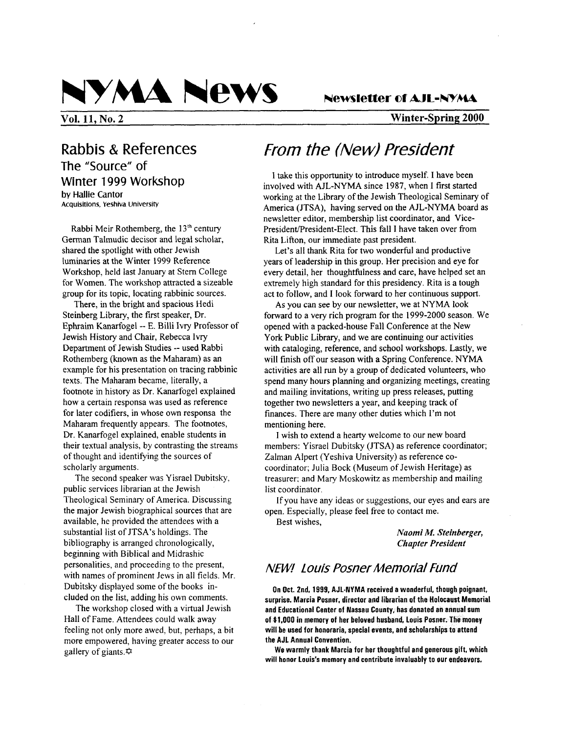

**Vol. 11, No. 2 Winter-Spring 2000** 

Rabbis & References The "Source" of Winter 1999 Workshop **by Hallie Cantor**  Acquisitions, **Yeshiva University** 

Rabbi Meir Rothemberg, the **13th** century German Talmudic decisor and legal scholar, shared the spotlight with other Jewish luminaries at the Winter 1999 Reference Workshop, held last January at Stem College for Women. The workshop attracted a sizeable group for its topic, locating rabbinic sources.

There, in the bright and spacious Hedi Steinberg Library, the first speaker, Dr. Ephraim Kanarfogel -- E. Billi Ivry Professor of Jewish History and Chair, Rebecca Ivry Department of Jewish Studies -- used Rabbi Rothemberg (known as the Maharam) as an example for his presentation on tracing rabbinic texts. The Maharam became, literally, a footnote in history as Dr. Kanarfogel explained how a certain responsa was used as reference for later codifiers, in whose own responsa the Maharam frequently appears. The footnotes, Dr. Kanarfogel explained, enable students in their textual analysis, by contrasting the streams of thought and identifying the sources of scholarly arguments.

The second speaker was Yisrael Dubitsky, public services librarian at the Jewish Theological Seminary of America. Discussing the major Jewish biographical sources that are available, he provided the attendees with a substantial list of JTSA's holdings. The bibliography is arranged chronologically, beginning with Biblical and Midrashic personalities, and proceeding to the present, with names of prominent Jews in all fields. Mr. Dubitsky displayed some of the books included on the list, adding his own comments.

The workshop closed with a virtual Jewish Hall of Fame. Attendees could walk away feeling not only more awed, but, perhaps, a bit more empowered, having greater access to our gallery of giants. $\Leftrightarrow$ 

# *From the (New) President*

I take this opportunity to introduce myself. **I** have been involved with AJL-NYMA since 1987, when **I** first started working at the Library of the Jewish Theological Seminary of America (JTSA), having served on the AJL-NYMA board as newsletter editor, membership list coordinator, and Vice-President/President-Elect. This fall I have taken over from Rita Lifton, our immediate past president.

Let's all thank Rita for two wonderful and productive years of leadership in this group. Her precision and eye for every detail, her thoughtfulness and care, have helped set an extremely high standard for this presidency. Rita is a tough act to follow, and **I** look forward to her continuous support.

**As** you can see by our newsletter, we at NYMA look forward to a very rich program for the 1999-2000 season. We opened with a packed-house Fall Conference at the New York Public Library, and we are continuing our activities with cataloging, reference, and school workshops. Lastly, we will finish off our season with a Spring Conference. NYMA activities are all run by a group of dedicated volunteers, who spend many hours planning and organizing meetings, creating and mailing invitations, writing up press releases, putting together two newsletters a year, and keeping track of finances. There are many other duties which I'm not mentioning here.

members: Yisrael Dubitsky (JTSA) as reference coordinator; Zalman Alpert (Yeshiva University) as reference cocoordinator; Julia Bock (Museum of Jewish Heritage) as treasurer: and Mary Moskowitz as membership and mailing list coordinator. I wish to extend a hearty welcome to our new board

open. Especially, please feel free to contact me. If you have any ideas or suggestions, our eyes and ears are

Best wishes,

*Naomi M. Steinberger, Chapter President* 

# *NENI Louis Posner Memorial Fund*

**On Oct. Znd, 1999, AJL-NYMA received a wonderful, though poignant. surprise. Marcia Posner, director and librarian of the Holocaust Memorial and Educational Center of Nassau County, has donated an annual sum of 51,000 in memory of her beloved husband, louis Posner. The money will be used for honoraria, special events, and scholarships to attend the AJL Annual Convention.** 

**will honor Louis's memory and contribute invaluably to our endeavors, We warmly thank Marcia for her thoughtful and generous gift, which**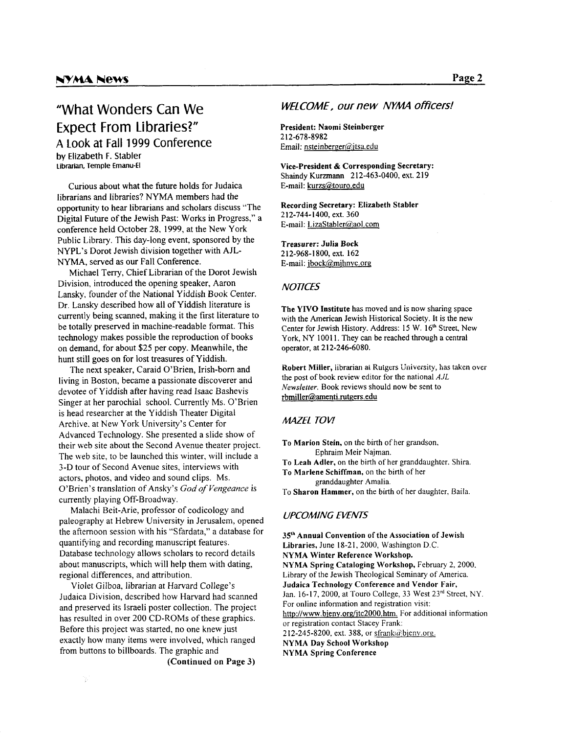# **"What Wonders Can We Expect From Libraries?" A** Look **at** Fall 1999 Conference **by Elizabeth F. Stabler**  Librarian, Temple €manu-El

Curious about what the future holds for Judaica librarians and libraries? NYMA members had the opportunity to hear librarians and scholars discuss "The Digital Future of the Jewish Past: Works in Progress," a conference held October 28. 1999, at the New York Public Library. This day-long event, sponsored by the NYPL's Dorot Jewish division together with AJL-NYMA, served as our Fall Conference.

Michael Terry, Chief Librarian of the Dorot Jewish Division, introduced the opening speaker, Aaron Lansky. founder of the National Yiddish Book Center. Dr. Lansky described how all of Yiddish literature is currently being scanned, making it the first literature to be totally preserved in machine-readable format. This technology makes possible the reproduction of books on demand, for about *\$25* per copy. Meanwhile, the hunt still goes on for lost treasures of Yiddish.

The next speaker, Caraid O'Brien, Irish-born and living in Boston, became a passionate discoverer and devotee of Yiddish after having read Isaac Bashevis Singer at her parochial school. Currently Ms. O'Brien is head researcher at the Yiddish Theater Digital Archive. at New York University's Center for Advanced Technology. She presented a slide show of their web site about the Second Avenue theater project. The web site, to be launched this winter, will include a 3-D tour of Second Avenue sites, interviews with actors, photos, and video and sound clips. Ms. O'Brien's translation of Ansky's *God of Vengeance* is currently playing Off-Broadway.

Malachi Beit-Arie, professor of codicology and paleography at Hebrew University in Jerusalem, opened the afternoon session with his "Sfardata," a database for quantifying and recording manuscript features. Database technology allows scholars to record details about manuscripts, which will help them with dating, regional differences, and attribution.

Violet Gilboa, librarian at Harvard College's Judaica Division, described how Harvard had scanned and preserved its Israeli poster collection. The project has resulted in over 200 CD-ROMs of these graphics. Before this project was started, no one knew just exactly how many items were involved, which ranged from buttons to billboards. The graphic and

Ŋ.

**(Continued on Page 3)** 

## **WELCOME, our new NYMA officers!**

**President: Naomi Steinberger**  Email: nsteinberger@jtsa.edu **2 12-678-8982** 

**Vice-president** & **Corresponding Secretary:**  Shaindy Kurzmann **212-463-0400,** ext. **219**  E-mail: kurzs@touro.edu

**Recording Secretary: Elizabeth Stabler 2 12-744- 1400,** ext. **360**  E-mail: *LizaStabler@aol.com* 

**Treasurer: Julia Bock 212-968-1800,** ext. **162**  E-mail: jbock@,mihnvc.orq

#### *NOTICES*

**The YIVO Institute** has moved and is now sharing space with the American Jewish Historical Society. It is the new Center for Jewish History. Address: **15** W. **16\*** Street, New York, NY 10011. They can be reached through a central operator, at **2 12-246-6080.** 

**Robert Miller, librarian ai Rutgers University, has taken over** the post of book review editor for **the** national *AJL Newsletter.* Book reviews should now be sent to rbmiller@amenti.rutgers.edu

## **MAZEL TOV!**

**To Marion Stein,** on the birth of her grandson. Ephraim Meir Najman.

**To Leah Adler,** on the birth of her granddaughter. Shira.

**To Marlene Schiffman,** on the birth of her granddaughter Amalia.

To **Sharon Hammer,** on the birth of her daughter. Baila.

### *UPCOMING EVENTS*

**3Sh Annual Convention of the Association of Jewish Libraries,** June **18-21, 2000,** Washington D.C. **NYMA Winter Reference Workshop. NYMA Spring Cataloging Workshop,** February **2, 2000.**  Library of the Jewish Theological Seminary of America. **Judaica Technology Conference and Vendor Fair,** Jan. **16-17, 2000,** at Touro College, 33 West **23rd** Street, NY. For online information and registration visit: http://www.bieny.org/jtc2000.htm. For additional information or registration contact Stacey Frank: 212-245-8200, ext. 388, or sfrank@bjeny.org. **NYMA Day School Workshop NYMA Spring Conference**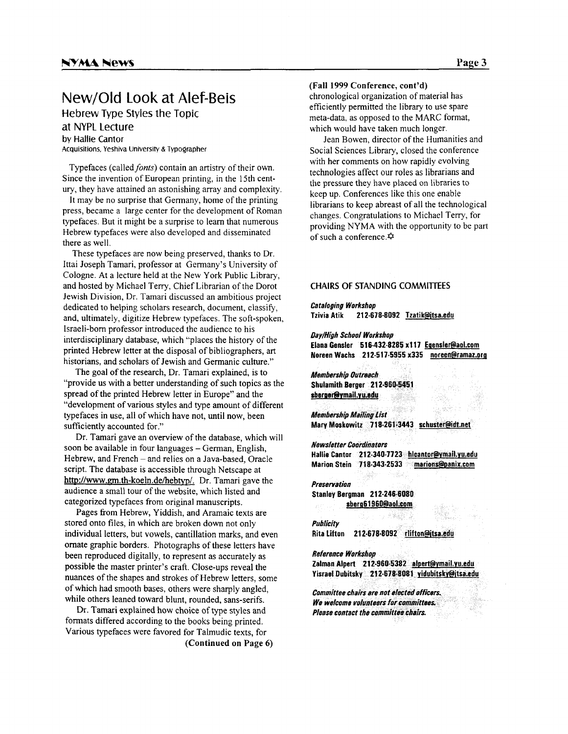# New/OId Look at **Alef-Beis**

Hebrew Type Styles the Topic

at NYPL Lecture by Hallie Cantor

Acquisitions, Yeshiva University & Typographer

Typefaces (called *fonts*) contain an artistry of their own. Since the invention of European printing, in the 15th century, they have attained an astonishing array and complexity.

It may be no surprise that Germany, home of the printing press, became a large center for the development of Roman typefaces. But it might be a surprise to learn that numerous Hebrew typefaces were also developed and disseminated there as well.

These typefaces are now being preserved, thanks to Dr. Ittai Joseph Tamari, professor at Germany's University of Cologne. At a lecture held at the New York Public Library, and hosted by Michael Terry, Chief Librarian of the Dorot Jewish Division, Dr. Tamari discussed an ambitious project dedicated to helping scholars research, document, classify, and, ultimately, digitize Hebrew typefaces. The soft-spoken, Israeli-born professor introduced the audience to his interdisciplinary database, which "places the history of the printed Hebrew letter at the disposal of bibliographers, art historians, and scholars of Jewish and Germanic culture."

The goal of the research, Dr. Tamari explained, is to "provide us with a better understanding of such topics as the spread of the printed Hebrew letter in Europe" and the "development of various styles and type amount of different typefaces in use, all of which have not, until now, been sufficiently accounted for."

soon be available in four languages – German, English, Hebrew, **and** French - and relies on a Java-based, Oracle script. The database is accessible through Netscape at http://www.gm.th-koeln.de/hebtyp/. Dr. Tamari gave the audience a small tour of the website, which listed and categorized typefaces from original manuscripts. Dr. Tamari gave an overview of the database, which will

Pages fiom Hebrew, Yiddish, and Aramaic texts are stored onto files, in which are broken down not only individual letters, but vowels, cantillation marks, and even ornate graphic borders. Photographs of these letters have been reproduced digitally, to represent as accurately as possible the master printer's craft. Close-ups reveal the nuances of the shapes and strokes of Hebrew letters, some of which had smooth bases, others were sharply angled, while others leaned toward blunt, rounded, sans-serifs.

Dr. Tamari explained how choice of type styles and formats differed according to the books being printed. Various typefaces were favored for Talmudic texts, for (Continued **on** Page *6)*  **(Fall** 1999 Conference, cont'd)

chronological organization of material has efficiently permitted the library to use spare meta-data. as opposed to the MARC format, which would have taken much longer.

Social Sciences Library, closed the conference with her comments on how rapidly evolving technologies affect our roles as librarians and the pressure they have placed on libraries to keep up. Conferences like this one enable librarians to keep abreast of all the technological changes. Congratulations to Michael Terry, for providing NYMA with the opportunity to be part of such a conference. $\hat{\varphi}$ Jean Bowen, director of the Humanities and

#### **CHAIRS OF STANDING COMMITl€ES**

*Cataloging Workshop*  **Tzivia Atik 212.678-8092 Tzatik@itsa.edu** 

*Oay/High School Workshop*  **Elana Gender 516-432-8285 x117 Esensler@aol.com Noreen Wachs 21 2-517-5955 x335 noreen@ramaz.org** 

**Membership Outreach** Shulamith Berger 212-960-5451 sberger@ymail.yu.edu

**Membership Mailing List** Mary Moskowitz 718-261-3443 schuster@idt.net

**Newsletter Coordinators** Hallie Cantor 212-340-7723 hicantor@ymail.yu.edu Marion Stein 718-343-2533 marions@panix.com

**Preservation** Stanley Bergman 212-246-6080 sberg61960@aol.com

*Publicity*  Rita Lifton **212-678-8092 rlifton@itsa.edu** 

*Reference Workshop* Zalman Alpert 212-960-5382 alpert@ymail.yu.edu Yisrael Dubitsky 212-678-8081 yidubitsky@jtsa.edu

Committee chairs are not elected officers. We welcome volunteers for committees. Please contact the committee chairs.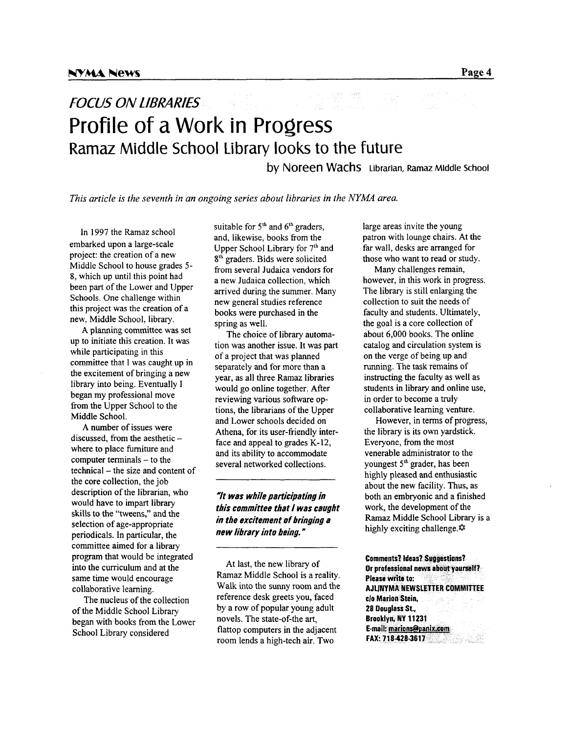# **FOCUS ON LIBRARIES** Profile of a Work in Progress Ramaz Middle School Library looks to the future

**by** Noreen **Wachs Librarian, Ramaz Middle School** 

*This article is the seventh in an ongoing series about libraries in the NYMA area.* 

In 1997 the Ramaz school embarked upon a large-scale project: the creation of a new Middle School to house grades *5-*  **8,** which up until this point had been part of the Lower and Upper Schools. One challenge within this project was the creation of a new, Middle School, library.

**A** planning committee was set up to initiate this creation. It was while participating in this committee that I was caught up in the excitement of bringing a new library into being. Eventually **I**  began my professional move from the Upper School to the Middle School.

**A** number of issues were discussed, from the aesthetic  $$ where to place furniture and computer terminals  $-$  to the technical – the size and content of the core collection, the job description of the librarian, who would have to impart library skills to the "tweens," and the selection of age-appropriate periodicals. In particular, the committee aimed for a library program that would be integrated into the curriculum and at the same time would encourage collaborative learning.

The nucleus of the collection of the Middle School Library began with books from the Lower School Library considered

suitable for 5<sup>th</sup> and 6<sup>th</sup> graders, and, likewise, books from the Upper School Library for 7<sup>th</sup> and 8<sup>th</sup> graders. Bids were solicited from several Judaica vendors for a new Judaica collection, which arrived during the summer. Many new general studies reference books were purchased in the spring as well.

tion was another issue. It was part of a project that was planned separately and for more than a year, as all three Ramaz libraries would go online together. After reviewing various software options, the librarians of the Upper and Lower schools decided on Athena, for its user-friendly interface and appeal to grades K-12, and its ability to accommodate several networked collections. The choice of library automa-

## *-It was while participating in this committee that I was caught in the excitement of bringing a new library into being.*

At last, the new library of Ramaz Middle School is a reality. Walk into the sunny room and the reference desk greets you, faced by a row of popular young adult novels. The state-of-the art, flattop computers in the adjacent room lends a high-tech air. Two

large areas invite the young patron with lounge chairs. At the far wall, desks are arranged for those who want to read or study.

Many challenges remain, however, in this work in progress. The library is still enlarging the collection to suit the needs of faculty and students. Ultimately, the goal is a core collection of about **6,000** books. The online catalog and circulation system is on the verge of being up and running. The task remains of instructing the faculty as well as students in library and online use, in order to become a truly collaborative learning venture.

the library is its own yardstick. Everyone, from the most venerable administrator to the youngest 5<sup>th</sup> grader, has been highly pleased and enthusiastic about the new facility. Thus, as both an embryonic and a finished work, the development of the **Ramaz** Middle School Library is a highly exciting challenge. $\hat{\varphi}$ However, in terms of progress,

**Comments? Ideas? Suggestions?** Or professional news about yourself? Please write to: **AJLINYMA NEWSLETTER COMMITTEE** clo Marion Stein. 28 Douglass St., Brooklyn, NY 11231 E-mail: marions@panix.com FAX: 718-428-3617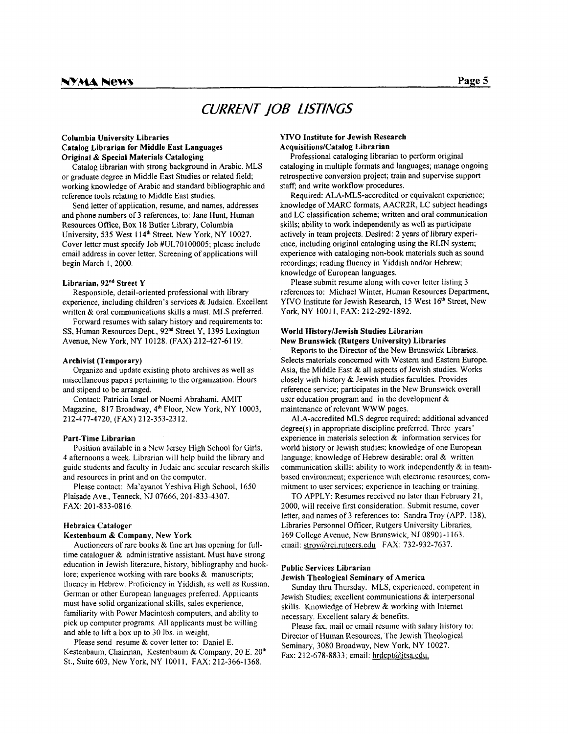# *CURRENT 106 L/STINGS*

#### **Columbia University Libraries Catalog Librarian for Middle East Languages Original** & **Special Materials Cataloging**

Catalog librarian with strong background in Arabic. MLS or graduate degree in Middle East Studies or related field; working knowledge of Arabic and standard bibliographic and reference tools relating to Middle East studies.

Send letter of application, resume, and names, addresses and phone numbers of 3 references, to: Jane Hunt, Human Resources Office, Box 18 Butler Library, Columbia University, 535 West 114<sup>th</sup> Street, New York, NY 10027. Cover letter must specify Job #UL70100005; please include email address in cover letter. Screening of applications will begin March I, 2000.

#### **Librarian, 92"d Street Y**

Responsible, detail-oriented professional with library experience, including children's services & Judaica. Excellent written & oral communications skills a must. MLS preferred.

Forward resumes with salary history and requirements to: SS, Human Resources Dept., 92<sup>nd</sup> Street Y, 1395 Lexington Avenue, New York, NY 10128. (FAX) 212-427-61 19.

#### **Archivist (Temporary)**

miscellaneous papers pertaining to the organization. Hours and stipend to be arranged. Organize and update existing photo archives as well as

Contact: Patricia Israel or Noemi Abrahami, AMIT Magazine, 8 17 Broadway, **4'** Floor, New York, NY 10003, 212-477-4720, (FAX) 212-353-23 12.

#### **Part-Time Librarian**

Position available in a New Jersey High School for Girls, 4 afternoons a week. Librarian will help build the library and guide students and faculty in Judaic and secular research skills and resources in print and on the computer.

Please contact: Ma'ayanot Yeshiva High School, 1650 Plaisade Ave., Teaneck, NJ 07666, 201-833-4307. FAX: 20 1-833-08 16.

#### **Hebraica Cataloger**

#### **Kestenbaum** & **Company, New York**

Auctioneers of rare books & fine art has opening for fulltime cataloguer & administrative assistant. Must have strong education in Jewish literature, history, bibliography and booklore; experience working with rare books & manuscripts; fluency in Hebrew. Proficiency in Yiddish. as well as Russian. German or other European languages preferred. Applicants must have solid organizational skills, sales experience, familiarity with Power Macintosh computers, and ability to pick up computer programs. All applicants must be willing and able to lift a box up to 30 Ibs. in weight.

Kestenbaum, Chairman, Kestenbaum & Company, 20 E. 20<sup>th</sup> St., Suite 603, New York, NY 100 <sup>I</sup>**I,** FAX: 2 12-366- 1368. Please send resume & cover letter to: Daniel E.

#### **YlVO Institute for Jewish Research AcquisitionslCatalog Librarian**

cataloging in multiple formats and languages; manage ongoing retrospective conversion project; train and supervise support staff; and write workflow procedures. Professional cataloging librarian to perform original

knowledge of MARC formats, AACR2R, LC subject headings and LC classification scheme; written and oral communication skills; ability to work independently **as** well as participate actively in team projects. Desired: 2 years of library experience, including original cataloging using the RLIN system; experience with cataloging non-book materials such as sound recordings; reading fluency in Yiddish and/or Hebrew; knowledge of European languages. Required: ALA-MLS-accredited or equivalent experience;

references to: Michael Winter, Human Resources Department, YIVO Institute for Jewish Research, 15 West **16'"** Street, New York, NY 10011, FAX: 212-292-1892. Please submit resume along with cover letter listing 3

#### **World History/Jewish Studies Librarian New Brunswick (Rutgers University) Libraries**

Reports to the Director of the New Brunswick Libraries. Selects materials concerned with Western and Eastern Europe, **Asia,** the Middle East & all aspects of Jewish studies. Works closely with history & Jewish studies faculties. Provides reference service; participates in the New Brunswick overall user education program and in the development & maintenance of relevant WWW pages.

degree(s) in appropriate discipline preferred. Three years' experience in materials selection & information services for world history or Jewish studies; knowledge of one European language; knowledge of Hebrew desirable: oral & written communication skills: ability to work independently & in teambased environment; experience with electronic resources; commitment to user services; experience in teaching or training. ALA-accredited MLS degree required; additional advanced

TO APPLY: Resumes received no later than February 21, 2000, will receive first consideration. Submit resume, cover letter, and names of 3 references to: Sandra Troy (APP. 138), Libraries Personnel Officer, Rutgers University Libraries, 169 College Avenue, New Brunswick, NJ 0890 **1** -I 163. email: stroy@rci.rutgers.edu FAX: 732-932-7637.

#### **Public Services Librarian**

#### **Jewish Theological Seminary of America**

Jewish Studies; excellent communications & interpersonal skills. Knowledge of Hebrew & working with Internet necessary. Excellent salary & benefits. Sunday thru Thursday. MLS, experienced. competent in

Director of Human Resources, The Jewish Theological Seminary, 3080 Broadway, New York, NY 10027. Fax: 212-678-8833; email: hrdept@jtsa.edu. Please fax, mail or email resume with salary history to: